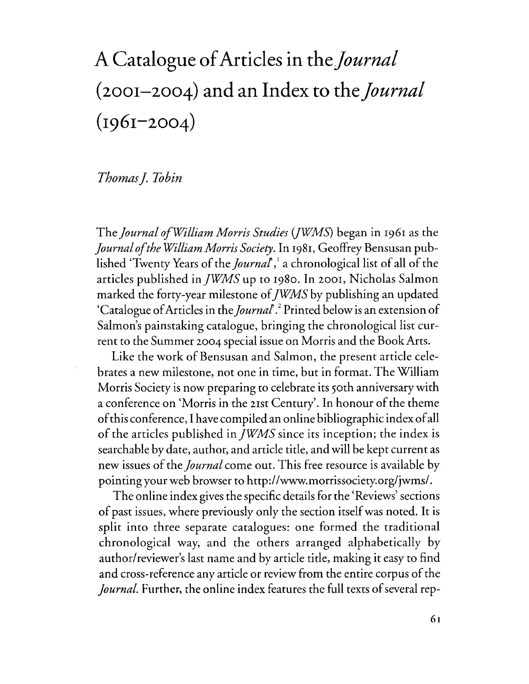## **A Catalogue of Articles in** *theJournal*  **(2001-2004) and an Index to** *theJournal*  **(1961-2004)**

## *Thomas* j. *Tobin*

 $\frac{v}{\epsilon}$ 

The *journal ofWilliam Morris Studies (fWMS)* began in 1961 as the *journal of the William Morris Society.* In 1981, Geoffrey Bensusan published 'Twenty Years of the *journal,* 1 a chronological list of all of the articles published in *JWMS* up to 1980. In 2001, Nicholas Salmon marked the forty-year milestone of *jWMS* by publishing an updated 'Catalogue of Articles in the *journal.* 2 Printed below is an extension of Salmon's painstaking catalogue, bringing the chronological list current to the Summer 2004 special issue on Morris and the Book Arts.

Like the work of Bensusan and Salmon, the present article celebrates a new milestone, not one in time, but in format. The William Morris Society is now preparing to celebrate its 50th anniversary with a conference on 'Morris in the 21st Century'. In honour of the theme of this conference, I have compiled an online bibliographic index of all of the articles published in *jWMS* since its inception; the index is searchable by date, author, and article title, and will be kept current as new issues of the *journal* come out. This free resource is available by pointing your web browser to http://www.morrissociety.org/jwms/.

The online index gives the specific details for the 'Reviews' sections of past issues, where previously only the section itself was noted. It is split into three separate catalogues: one formed the traditional chronological way, and the others arranged alphabetically by author/reviewer's last name and by article title, making it easy to find and cross-reference any article or review from the entire corpus of the *Journal*. Further, the online index features the full texts of several rep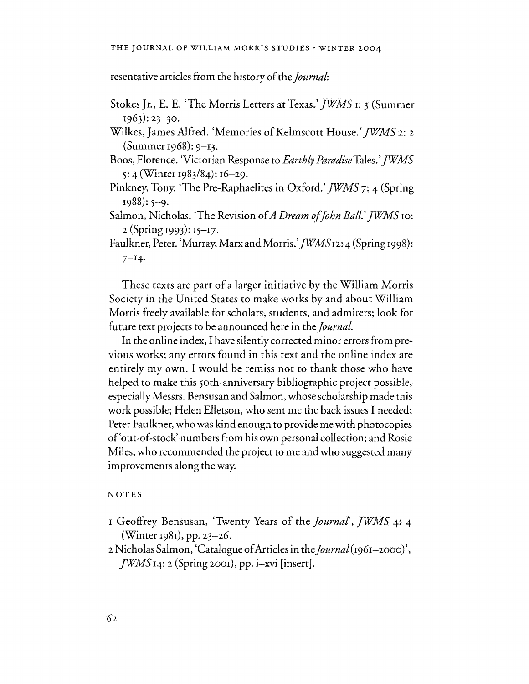resentative articles from the history of the *journal:* 

Stokes Jr., E. E. 'The Morris Letters at Texas.' *jWMS* 1: 3 (Summer 1963): 23-30.

Wilkes, James Alfred. 'Memories of Kelmscott House.' *jWMS* 2: 2 (Summer 1968): 9-13.

Boos, Florence. 'Victorian Response to *Earthly Paradise* Tales.' *]WMS*  5: 4 (Winter *1983/84): 16-*2*9.* 

Pinkney, Tony. 'The Pre-Raphaelites in Oxford.' *]WMS* 7: 4 (Spring  $1988$ : 5-9.

Salmon, Nicholas. 'The Revision of *A Dream of John Ball.' JWMS* 10: 2 (Spring 1993): 15-I7.

Faulkner, Peter. 'Murray, Marx and Morris.' *JWMS12: 4* (Spring 1998):  $7 - 14.$ 

These texts are part of a larger initiative by the William Morris Society in the United States to make works by and about William Morris freely available for scholars, students, and admirers; look for future text projects to be announced here in the *journal.* 

In the online index, I have silently corrected minor errors from previous works; any errors found in this text and the online index are entirely my own. I would be remiss not to thank those who have helped to make this 50th-anniversary bibliographic project possible, especially Messrs. Bensusan and Salmon, whose scholarship made this work possible; Helen Elletson, who sent me the back issues I needed; Peter Faulkner, who was kind enough to provide me with photocopies of'out-of-stock' numbers from his own personal collection; and Rosie Miles, who recommended the project to me and who suggested many improvements along the way.

## NOTES

I Geoffrey Bensusan, 'Twenty Years of the *journal, jWMS* 4: 4 (Winter 1981), pp. 23-26.

2 Nicholas Salmon, 'Catalogue of Articles in the *journal* (1961-2000)', *]WMS* 14: 2 (Spring 2001), pp. i-xvi [insert].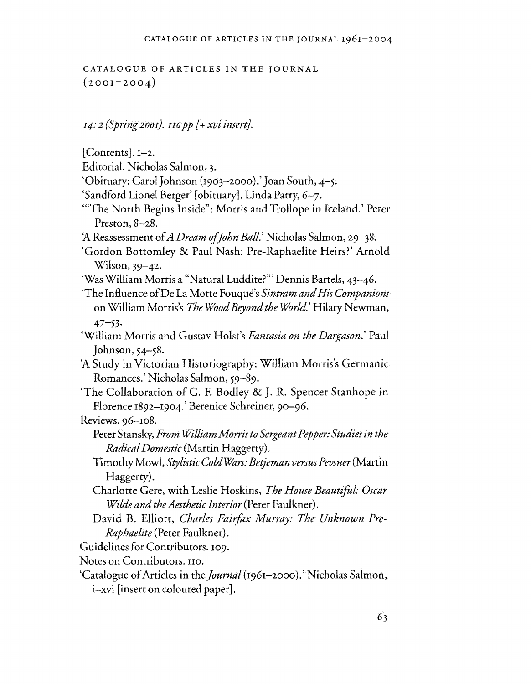CATALOGUE OF ARTICLES IN THE JOURNAL  $(2001 - 2004)$ 

*I4:* 2 *(Spring 200I). IIO pp* [+ *xvi insert).* 

[Contents]. 1-2. Editorial. Nicholas Salmon, 3. 'Obituary: Carol Johnson (1903-2000).' Joan South,  $4-\xi$ . 'Sandford Lionel Berger' [obituary]. Linda Parry, 6-7. "The North Begins Inside": Morris and Trollope in Iceland.' Peter Preston, 8-28. 'A Reassessment of *A Dream of John Ball.'* Nicholas Salmon, 29-38. 'Gordon Bottomley & Paul Nash: Pre-Raphaelite Heirs?' Arnold Wilson, 39-42. 'Was William Morris a "Natural Luddite?'" Dennis Bartels, 43-46. 'The Influence of De La Motte Fouque's *Sintram and His Companions*  on WilliamMorris's *The Wood Beyond the World.'* Hilary Newman, 47-53· 'William Morris and Gustav HoIst's *Fantasia on the Dargason.'* Paul Johnson, 54-58. 'A Study in Victorian Historiography: William Morris's Germanic Romances.' Nicholas Salmon, 59-89. 'The Collaboration of G, F. Bodley & J. R. Spencer Stanhope in Florence 1892–1904.' Berenice Schreiner, 90–96. Reviews. 96-108. Peter Stansky, *From William Morris to Sergeant Pepper: Studies in the Radical Domestic* (Martin Haggerty). Timothy Mowl, *Stylistic ColdWars: Betjeman versus Pevsner* (Martin Haggerty). Charlotte Gere, with Leslie Hoskins, *The House Beautiful: Oscar Wilde and the Aesthetic Interior* (Peter Faulkner). David B. Elliott, *Charles Fairfax Murray: The Unknown Pre-Raphaelite* (Peter Faulkner). Guidelines for Contributors. 109. Notes on Contributors. 110. 'Catalogue of Articles in the *Journal* (1961-2000).' Nicholas Salmon, i-xvi [insert on coloured paper].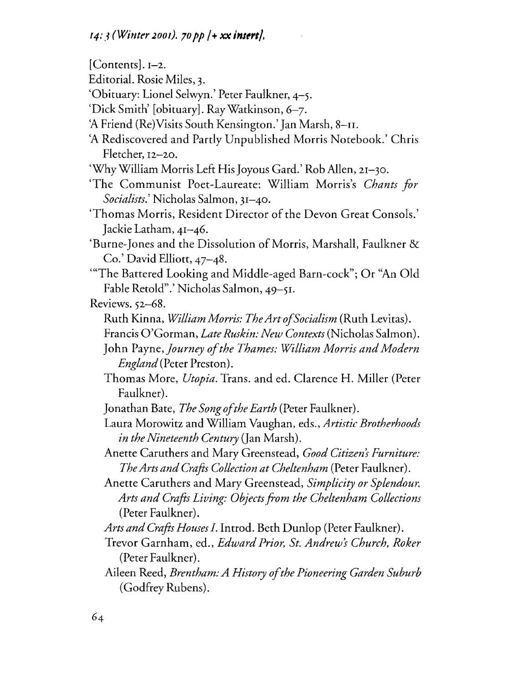[Contents]. 1-2. Editorial. Rosie Miles, 3. 'Obituary: Lionel Selwyn.' Peter Faulkner, 4-5. 'Dick Smith' [obituary]. Ray Watkinson, 6-7. 'A Friend (Re)Visits South Kensington.' Jan Marsh, 8-II. 'A Rediscovered and Partly Unpublished Morris Notebook.' Chris Fletcher, I2-20. 'Why William Morris Left His Joyous Gard.' Rob AlIen, 21-30. 'The Communist Poet-Laureate: William Morris's *Chants for Socialists.'* Nicholas Salmon, 31-40. 'Thomas Morris, Resident Director of the Devon Great Consols.' Jackie Latham, 41-46. 'Burne-Jones and the Dissolution of Morris, Marshall, Faulkner & Co.' David Elliott, 47-48. "The Battered Looking and Middle-aged Barn-cock"; Or "An Old Fable Retold".' Nicholas Salmon, 49-51. Reviews. 52-68. Ruth Kinna, *WilliamMorris: TheArtofSocialism* (Ruth Levitas). Francis O'Gorman, *Late Ruskin: New Contexts* (Nicholas Salmon). John Payne, *Journey of the Thames: William Morris and Modern England* (Peter Preston). Thomas More, *Utopia.* Trans. and ed. Clarence H. Miller (Peter Faulkner). Jonathan Bate, *The Song of the Earth* (Peter Faulkner). Laura Morowitz and William Vaughan, eds., *Artistic Brotherhoods in the Nineteenth Century* (Jan Marsh). Anette Caruthers and Mary Greenstead, *Good Citizen's Furniture: The Arts and Crafts Collection at Cheltenham* (Peter Faulkner). Anette Caruthers and Mary Greenstead, *Simplicity or Splendour. Arts and Crafts Living: Objects from the Cheltenham Collections*  (Peter Faulkner). *Arts and Crafts Houses I.* Introd. Beth Dunlop (Peter Faulkner). Trevor Garnham, ed., *Edward Prior, St. Andrews Church, Roker*  (Peter Faulkner). Aileen Reed, *Brentham: A History of the Pioneering Garden Suburb*  (Godfrey Rubens).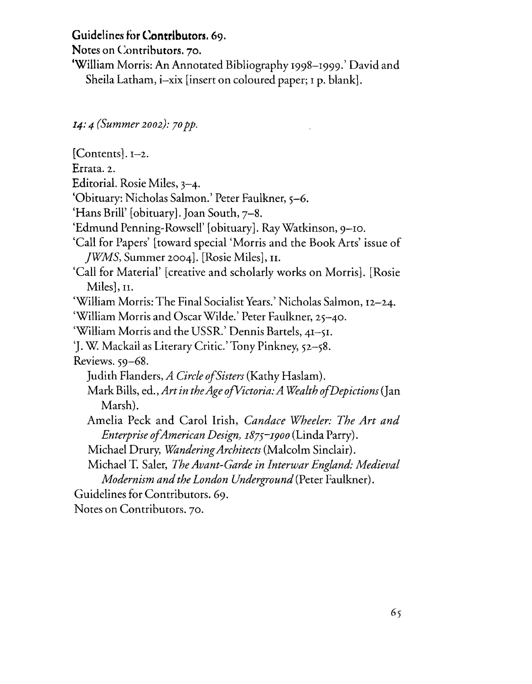## Guidelines for **Contributors.** 69.

Notes on Contributors. 70.

'William Morris: An Annotated Bibliography 1998-1999.' David and Sheila Latham, i-xix [insert on coloured paper; 1 p. blank].

14: 4 *(Summer 2002):* 7*0 pp.* 

[Contents]. 1-2. Errata. 2. Editorial. Rosie Miles, 3-4. 'Obituary: Nicholas Salmon.' Peter Faulkner, 5-6. 'Hans Brill' [obituary]. Joan South, 7-8. 'Edmund Penning-Rowsell' [obituary]. Ray Watkinson, 9-10. 'Call for Papers' [toward special 'Morris and the Book Arts' issue of *jWMS,* Summer 2004]. [Rosie Miles], n. 'Call for Material' [creative and scholarly works on Morris]. [Rosie Miles], n. 'William Morris: The Final Socialist Years.' Nicholas Salmon, 12-24. 'William Morris and Oscar Wilde.' Peter Faulkner, 25-40. 'William Morris and the USSR.' Dennis Bartels, 41-51. 'J. W. Mackail as Literary Critic.' Tony Pinkney, 52-58. Reviews. 59-68. Judith Flanders, *A Circle of Sisters* (Kathy Haslam). Mark Bills, ed., *Art in theAge ofVictoria: A Wealth of Depictions* (Jan Marsh). Amelia Peck and Carol Irish, *Candace Wheeler: The Art and Enterprise of American Design, 187S-1900* (Linda Parry). Michael Drury, *Wandering Architects* (Malcolm Sinclair). Michael T. Saler, *The Avant-Garde in Interwar England: Medieval Modernism and the London Underground* (Peter Faulkner). Guidelines for Contributors. 69. Notes on Contributors. 70.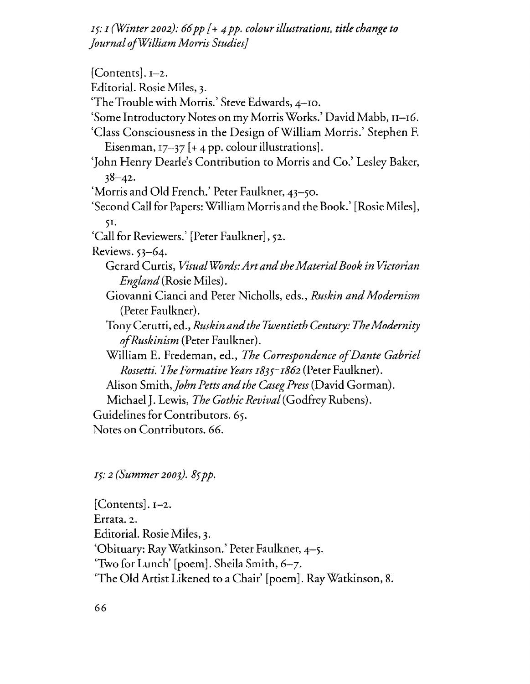15: 1 *(Winter 2002):* 66 *pp* [+ 4 *pp. colour illustrations. title change to Journal ofWilliam Morris Studies}* 

[Contents]. J-2. Editorial. Rosie Miles, 3. 'The Trouble with Morris.' Steve Edwards, 4-10. 'Some Introductory Notes on my Morris Works.' David Mabb, 11-16. 'Class Consciousness in the Design ofWilliam Morris.' Stephen F. Eisenman,  $17-37$  [+ 4 pp. colour illustrations]. 'John Henry Dearle's Contribution to Morris and Co.' Lesley Baker,  $38 - 42$ . 'Morris and Old French.' Peter Faulkner, 43-50. 'Second Call for Papers: William Morris and the Book.' [Rosie Miles], 51. 'Call for Reviewers.' [Peter Faulkner], 52. Reviews. 53-64. Gerard Curtis, *Visual WOrds: Art and the Material Book in Victorian England* (Rosie Miles). Giovanni Cianci and Peter Nicholls, eds., *Ruskin and Modernism*  (Peter Faulkner). TonyCerutti, ed., *Ruskinandthe Twentieth Century: The Modernity of Rusk in ism* (Peter Faulkner). William E. Fredeman, ed., *The Correspondence of Dante Gabriel Rossetti. The Formative Years* 1835-1862 (Peter Faulkner). Alison Smith, *John Petts and the Caseg Press* (David Gorman). Michael J. Lewis, *The Gothic Revival* (Godfrey Rubens). Guidelines for Contributors. 65. Notes on Contributors. 66.

IS: 2 *(Summer 2003).* 85 *pp.* 

[Contents]. 1-2. Errata. 2. Editorial. Rosie Miles, 3. 'Obituary: Ray Watkinson.' Peter Faulkner, 4-5. 'Two for Lunch' [poem]. Sheila Smith, 6-7. 'The Old Artist Likened to a Chair' [poem]. Ray Watkinson, 8.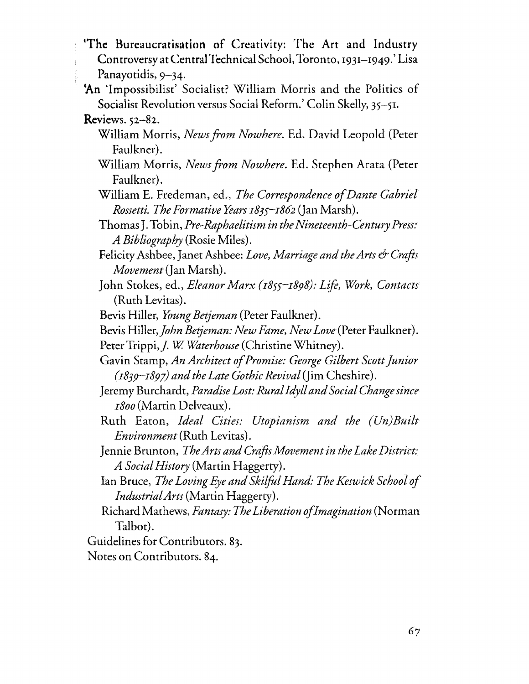- 'The Bureaucratisation of Creativity: The Art and Industry Controversy at Central Technical School, Toronto, 1931-1949.' Lisa Panayotidis, 9-34.
- 'An 'Impossibilist' Socialist? William Morris and the Politics of Socialist Revolution versus Social Reform.' Colin Skelly, 35-51.

- William Morris, *News from Nowhere.* Ed. David Leopold (Peter Faulkner).
- William Morris, *News from Nowhere.* Ed. Stephen Arata (Peter Faulkner).
- William E. Fredeman, ed., *The Correspondence of Dante Gabriel Rossetti. The Formative Years I83S-I862* (Jan Marsh).
- Thomas J. Tobin, *Pre-Raphaelitism in the Nineteenth-Century Press: A Bibliography* (Rosie Miles).
- Felicity Ashbee, Janet Ashbee: *Love, Marriage and the Arts & Crafts Movement* (Jan Marsh).
- John Stokes, ed., *Eleanor Marx (I8SS-I898): Life, Work, Contacts*  (Ruth Levitas).
- Bevis Hiller, *Young Betjeman* (Peter Faulkner).
- Bevis Hiller, *John Betjeman: New Fame, New Love* (Peter Faulkner). Peter Trippi, *J. W. Waterhouse* (Christine Whitney).
- Gavin Stamp, *An Architect of Promise: George Gilbert Scott Junior (I839-I897) and the Late Gothic Revival* (Jim Cheshire).
- Jeremy Burchardt, *Paradise Lost: Rural Idyll and Social Change since I800* (Martin Delveaux).
- Ruth Eaton, *Ideal Cities: Utopianism and the (Un)Built Environment* (Ruth Levitas).
- Jennie Brunton, *The Arts and Crafts Movement in the Lake District: A Social History* (Martin Haggerty).
- lan Bruce, *The Loving Eye and Skilfol Hand: The Keswick School of IndustrialArts* (Martin Haggerty).
- Richard Mathews, *Fantasy: The Liberation of Imagination* (Norman Talbot).
- Guidelines for Contributors. 83.
- Notes on Contributors. 84.

Reviews. 52-82.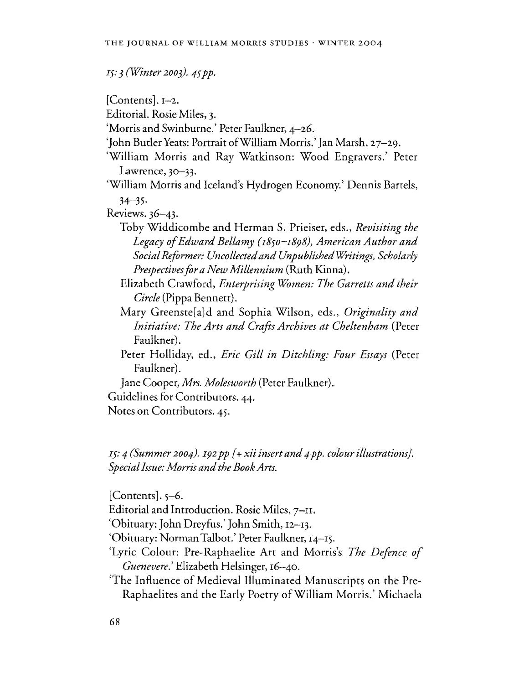*IS:* 3 *(Winter 2003).* 45 *pp.* 

[Contents]. I-2.

Editorial. Rosie Miles, 3.

- 'Morris and Swinburne.' Peter Faulkner, 4-26.
- 'John Butler Yeats: Portrait ofWilliam Morris.' Jan Marsh, 27-29.
- 'William Morris and Ray Watkinson: Wood Engravers.' Peter Lawrence,  $30 - 33$ .

'William Morris and Iceland's Hydrogen Economy.' Dennis Bartels,  $34 - 35.$ 

Reviews. 36-43.

Toby Widdicombe and Herman S. Prieiser, eds., *Revisiting the Legacy of Edward Bellamy (1850-1898), American Author and Social Reformer: Uncollected and Unpublished Writings, Scholarly Prespectives for a New Millennium* (Ruth Kinna).

- Elizabeth Crawford, *Enterprising Women: The Garretts and their Circle* (Pippa Bennett).
- Mary Greenste[a]d and Sophia Wilson, eds., *Originality and Initiative: The Arts and Crafts Archives at Cheltenham* (Peter Faulkner).
- Peter Holliday, ed., *Eric Gill in Ditchling: Four Essays* (Peter Faulkner).

Jane Cooper, *Mrs. Molesworth* (Peter Faulkner).

Guidelines for Contributors. 44.

Notes on Contributors. 45.

IS: 4 *(Summer 2004).* 192 *pp* [+ *xii insert and* 4 *pp. colour illustrations}. Special Issue: Morris and the Book Arts.* 

 $[Contents].$  5-6. Editorial and Introduction. Rosie Miles, 7-II. 'Obituary: John Dreyfus.' John Smith, 12-13. 'Obituary: Norman Talbot.' Peter Faulkner, 14-15. 'Lyric Colour: Pre-Raphaelite Art and Morris's *The Defence of Guenevere.'* Elizabeth Helsinger, 16-40. 'The Influence of Medieval Illuminated Manuscripts on the Pre-Raphaelites and the Early Poetry of William Morris.' Michaela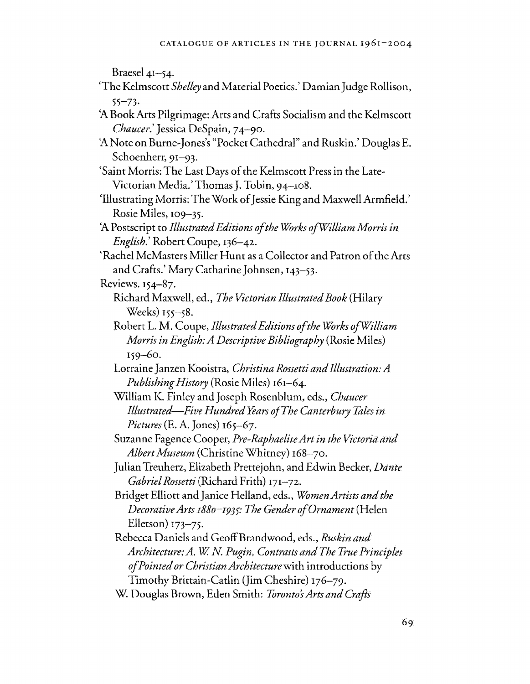Braesel  $41-54$ .

- 'The Kelmscott *Shelley* and Material Poetics.' Damian Judge Rollison, 55-73·
- 'A Book Arts Pilgrimage: Arts and Crafts Socialism and the Kelmscott *Chaucer.'* Jessica DeSpain, 74-90.
- 'A Note on Burne-Jones's "Pocket Cathedral" and Ruskin.' Douglas E. Schoenherr, 91-93.
- 'Saint Morris: The Last Days of the Kelmscott Press in the Late-Victorian Media.' Thomas J. Tobin, 94-108.
- 'Illustrating Morris: The Work of Jessie King and Maxwell Armfield.' Rosie Miles, 109-35.
- 'A Postscript to *Illustrated Editions of the WOrks ofWilliam Morris in English.'* Robert Coupe, 136-42.
- 'Rachel McMasters Miller Hunt as a Collector and Patron of the Arts and Crafts.' Mary Catharine Johnsen, 143-53.

Reviews. 154-87.

- Richard Maxwell, ed., *The Victorian Illustrated Book* (Hilary Weeks) 155-58.
- Robert L. M. Coupe, *Illustrated Editions of the WOrks ofWilliam Morris in English: A Descriptive Bibliography* (Rosie Miles) 159-60.
- Lorraine Janzen Kooistra, *Christina Rossetti and Illustration: A Publishing History* (Rosie Miles) 161-64.
- William K. Finley and Joseph Rosenblum, eds., *Chaucer Illustrated-Five Hundred Years of The Canterbury Tales in Pictures* (E. A. Jones) 165-67.
- Suzanne Fagence Cooper, *Pre-Raphaelite Art in the Victoria and*  Albert Museum (Christine Whitney) 168-70.
- Julian Treuherz, Elizabeth Prettejohn, and Edwin Becker, *Dante Gabriel Rossetti* (Richard Frith) 171-72.
- Bridget Elliott and Janice Helland, eds., *WOmen Artists and the Decorative Arts I88o-I93S: The Gender of Ornament* (Helen Elletson) 173-75.
- Rebecca Daniels and GeoffBrandwood, eds., *Ruskin and Architecture; A.* W. *N Pugin, Contrasts and The True Principles of Pointed or Christian Architecture* with introductions by
	- Timothy Brittain-Catlin (Jim Cheshire) 176-79.
- W. Douglas Brown, Eden Smith: *To ron to 's Arts and Crafts*